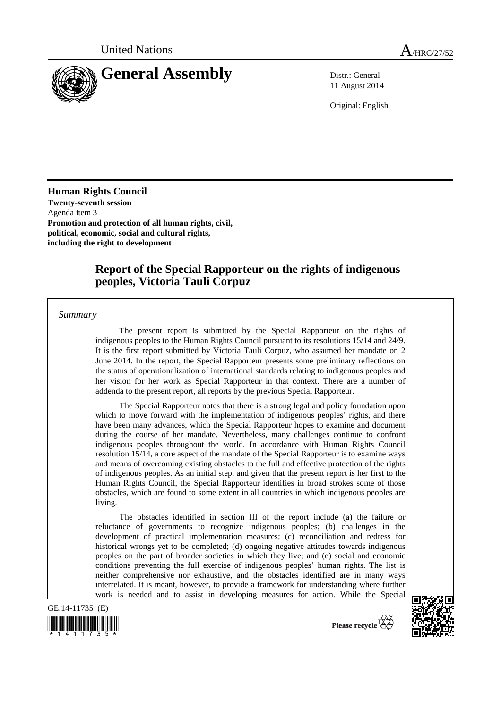

11 August 2014

Original: English

**Human Rights Council Twenty-seventh session**  Agenda item 3 **Promotion and protection of all human rights, civil, political, economic, social and cultural rights, including the right to development** 

# **Report of the Special Rapporteur on the rights of indigenous peoples, Victoria Tauli Corpuz**

*Summary* 

The present report is submitted by the Special Rapporteur on the rights of indigenous peoples to the Human Rights Council pursuant to its resolutions 15/14 and 24/9. It is the first report submitted by Victoria Tauli Corpuz, who assumed her mandate on 2 June 2014. In the report, the Special Rapporteur presents some preliminary reflections on the status of operationalization of international standards relating to indigenous peoples and her vision for her work as Special Rapporteur in that context. There are a number of addenda to the present report, all reports by the previous Special Rapporteur.

The Special Rapporteur notes that there is a strong legal and policy foundation upon which to move forward with the implementation of indigenous peoples' rights, and there have been many advances, which the Special Rapporteur hopes to examine and document during the course of her mandate. Nevertheless, many challenges continue to confront indigenous peoples throughout the world. In accordance with Human Rights Council resolution 15/14, a core aspect of the mandate of the Special Rapporteur is to examine ways and means of overcoming existing obstacles to the full and effective protection of the rights of indigenous peoples. As an initial step, and given that the present report is her first to the Human Rights Council, the Special Rapporteur identifies in broad strokes some of those obstacles, which are found to some extent in all countries in which indigenous peoples are living.

The obstacles identified in section III of the report include (a) the failure or reluctance of governments to recognize indigenous peoples; (b) challenges in the development of practical implementation measures; (c) reconciliation and redress for historical wrongs yet to be completed; (d) ongoing negative attitudes towards indigenous peoples on the part of broader societies in which they live; and (e) social and economic conditions preventing the full exercise of indigenous peoples' human rights. The list is neither comprehensive nor exhaustive, and the obstacles identified are in many ways interrelated. It is meant, however, to provide a framework for understanding where further work is needed and to assist in developing measures for action. While the Special

GE.14-11735 (E)





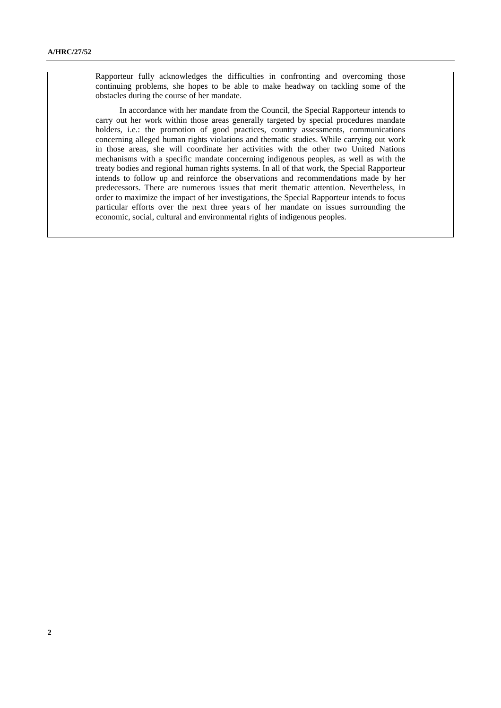Rapporteur fully acknowledges the difficulties in confronting and overcoming those continuing problems, she hopes to be able to make headway on tackling some of the obstacles during the course of her mandate.

In accordance with her mandate from the Council, the Special Rapporteur intends to carry out her work within those areas generally targeted by special procedures mandate holders, i.e.: the promotion of good practices, country assessments, communications concerning alleged human rights violations and thematic studies. While carrying out work in those areas, she will coordinate her activities with the other two United Nations mechanisms with a specific mandate concerning indigenous peoples, as well as with the treaty bodies and regional human rights systems. In all of that work, the Special Rapporteur intends to follow up and reinforce the observations and recommendations made by her predecessors. There are numerous issues that merit thematic attention. Nevertheless, in order to maximize the impact of her investigations, the Special Rapporteur intends to focus particular efforts over the next three years of her mandate on issues surrounding the economic, social, cultural and environmental rights of indigenous peoples.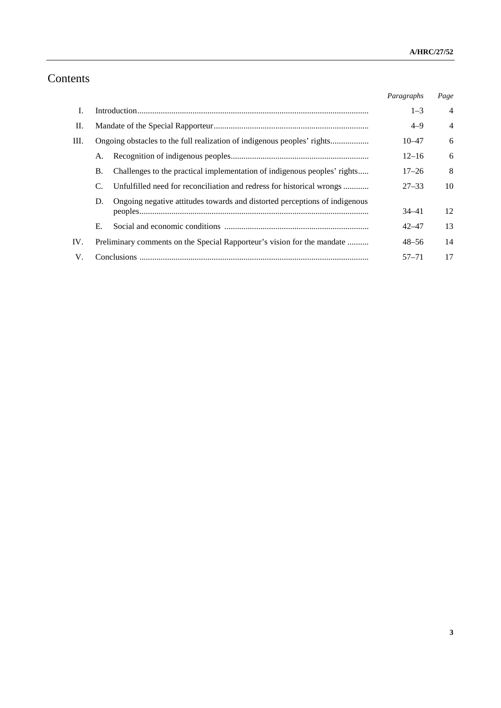# Contents

|      |                                                                                  | Paragraphs | Page           |
|------|----------------------------------------------------------------------------------|------------|----------------|
| I.   |                                                                                  | $1 - 3$    | $\overline{4}$ |
| П.   |                                                                                  | $4 - 9$    | $\overline{4}$ |
| III. |                                                                                  | $10 - 47$  | 6              |
|      | А.                                                                               | $12 - 16$  | 6              |
|      | Challenges to the practical implementation of indigenous peoples' rights<br>B.   | $17 - 26$  | 8              |
|      | Unfulfilled need for reconciliation and redress for historical wrongs<br>C.      | $27 - 33$  | 10             |
|      | Ongoing negative attitudes towards and distorted perceptions of indigenous<br>D. |            |                |
|      |                                                                                  | $34 - 41$  | 12             |
|      | Е.                                                                               | $42 - 47$  | 13             |
| IV.  | Preliminary comments on the Special Rapporteur's vision for the mandate          | $48 - 56$  | 14             |
| V.   |                                                                                  | $57 - 71$  | 17             |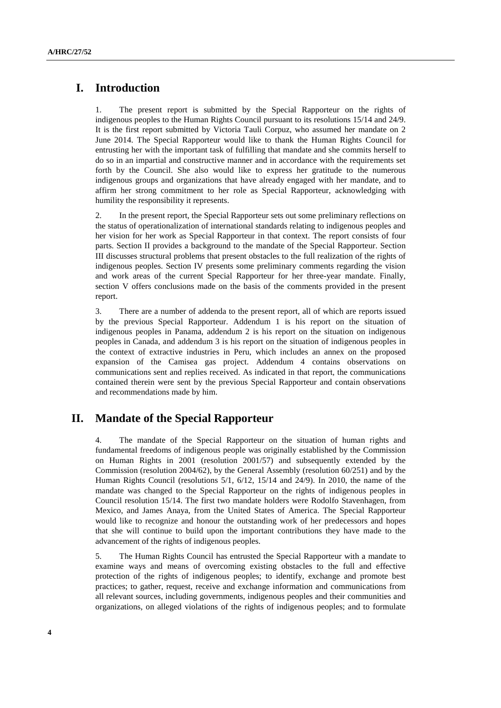# **I. Introduction**

1. The present report is submitted by the Special Rapporteur on the rights of indigenous peoples to the Human Rights Council pursuant to its resolutions 15/14 and 24/9. It is the first report submitted by Victoria Tauli Corpuz, who assumed her mandate on 2 June 2014. The Special Rapporteur would like to thank the Human Rights Council for entrusting her with the important task of fulfilling that mandate and she commits herself to do so in an impartial and constructive manner and in accordance with the requirements set forth by the Council. She also would like to express her gratitude to the numerous indigenous groups and organizations that have already engaged with her mandate, and to affirm her strong commitment to her role as Special Rapporteur, acknowledging with humility the responsibility it represents.

2. In the present report, the Special Rapporteur sets out some preliminary reflections on the status of operationalization of international standards relating to indigenous peoples and her vision for her work as Special Rapporteur in that context. The report consists of four parts. Section II provides a background to the mandate of the Special Rapporteur. Section III discusses structural problems that present obstacles to the full realization of the rights of indigenous peoples. Section IV presents some preliminary comments regarding the vision and work areas of the current Special Rapporteur for her three-year mandate. Finally, section V offers conclusions made on the basis of the comments provided in the present report.

3. There are a number of addenda to the present report, all of which are reports issued by the previous Special Rapporteur. Addendum 1 is his report on the situation of indigenous peoples in Panama, addendum 2 is his report on the situation on indigenous peoples in Canada, and addendum 3 is his report on the situation of indigenous peoples in the context of extractive industries in Peru, which includes an annex on the proposed expansion of the Camisea gas project. Addendum 4 contains observations on communications sent and replies received. As indicated in that report, the communications contained therein were sent by the previous Special Rapporteur and contain observations and recommendations made by him.

# **II. Mandate of the Special Rapporteur**

4. The mandate of the Special Rapporteur on the situation of human rights and fundamental freedoms of indigenous people was originally established by the Commission on Human Rights in 2001 (resolution 2001/57) and subsequently extended by the Commission (resolution 2004/62), by the General Assembly (resolution 60/251) and by the Human Rights Council (resolutions 5/1, 6/12, 15/14 and 24/9). In 2010, the name of the mandate was changed to the Special Rapporteur on the rights of indigenous peoples in Council resolution 15/14. The first two mandate holders were Rodolfo Stavenhagen, from Mexico, and James Anaya, from the United States of America. The Special Rapporteur would like to recognize and honour the outstanding work of her predecessors and hopes that she will continue to build upon the important contributions they have made to the advancement of the rights of indigenous peoples.

5. The Human Rights Council has entrusted the Special Rapporteur with a mandate to examine ways and means of overcoming existing obstacles to the full and effective protection of the rights of indigenous peoples; to identify, exchange and promote best practices; to gather, request, receive and exchange information and communications from all relevant sources, including governments, indigenous peoples and their communities and organizations, on alleged violations of the rights of indigenous peoples; and to formulate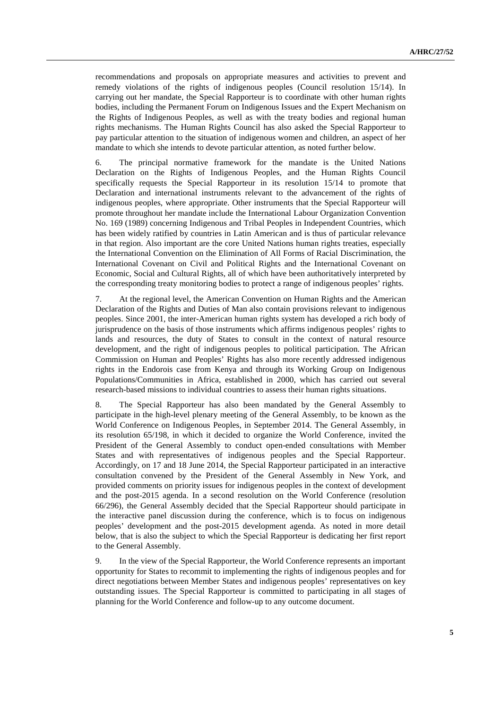recommendations and proposals on appropriate measures and activities to prevent and remedy violations of the rights of indigenous peoples (Council resolution 15/14). In carrying out her mandate, the Special Rapporteur is to coordinate with other human rights bodies, including the Permanent Forum on Indigenous Issues and the Expert Mechanism on the Rights of Indigenous Peoples, as well as with the treaty bodies and regional human rights mechanisms. The Human Rights Council has also asked the Special Rapporteur to pay particular attention to the situation of indigenous women and children, an aspect of her mandate to which she intends to devote particular attention, as noted further below.

6. The principal normative framework for the mandate is the United Nations Declaration on the Rights of Indigenous Peoples, and the Human Rights Council specifically requests the Special Rapporteur in its resolution 15/14 to promote that Declaration and international instruments relevant to the advancement of the rights of indigenous peoples, where appropriate. Other instruments that the Special Rapporteur will promote throughout her mandate include the International Labour Organization Convention No. 169 (1989) concerning Indigenous and Tribal Peoples in Independent Countries, which has been widely ratified by countries in Latin American and is thus of particular relevance in that region. Also important are the core United Nations human rights treaties, especially the International Convention on the Elimination of All Forms of Racial Discrimination, the International Covenant on Civil and Political Rights and the International Covenant on Economic, Social and Cultural Rights, all of which have been authoritatively interpreted by the corresponding treaty monitoring bodies to protect a range of indigenous peoples' rights.

7. At the regional level, the American Convention on Human Rights and the American Declaration of the Rights and Duties of Man also contain provisions relevant to indigenous peoples. Since 2001, the inter-American human rights system has developed a rich body of jurisprudence on the basis of those instruments which affirms indigenous peoples' rights to lands and resources, the duty of States to consult in the context of natural resource development, and the right of indigenous peoples to political participation. The African Commission on Human and Peoples' Rights has also more recently addressed indigenous rights in the Endorois case from Kenya and through its Working Group on Indigenous Populations/Communities in Africa, established in 2000, which has carried out several research-based missions to individual countries to assess their human rights situations.

8. The Special Rapporteur has also been mandated by the General Assembly to participate in the high-level plenary meeting of the General Assembly, to be known as the World Conference on Indigenous Peoples, in September 2014. The General Assembly, in its resolution 65/198, in which it decided to organize the World Conference, invited the President of the General Assembly to conduct open-ended consultations with Member States and with representatives of indigenous peoples and the Special Rapporteur. Accordingly, on 17 and 18 June 2014, the Special Rapporteur participated in an interactive consultation convened by the President of the General Assembly in New York, and provided comments on priority issues for indigenous peoples in the context of development and the post-2015 agenda. In a second resolution on the World Conference (resolution 66/296), the General Assembly decided that the Special Rapporteur should participate in the interactive panel discussion during the conference, which is to focus on indigenous peoples' development and the post-2015 development agenda. As noted in more detail below, that is also the subject to which the Special Rapporteur is dedicating her first report to the General Assembly.

9. In the view of the Special Rapporteur, the World Conference represents an important opportunity for States to recommit to implementing the rights of indigenous peoples and for direct negotiations between Member States and indigenous peoples' representatives on key outstanding issues. The Special Rapporteur is committed to participating in all stages of planning for the World Conference and follow-up to any outcome document.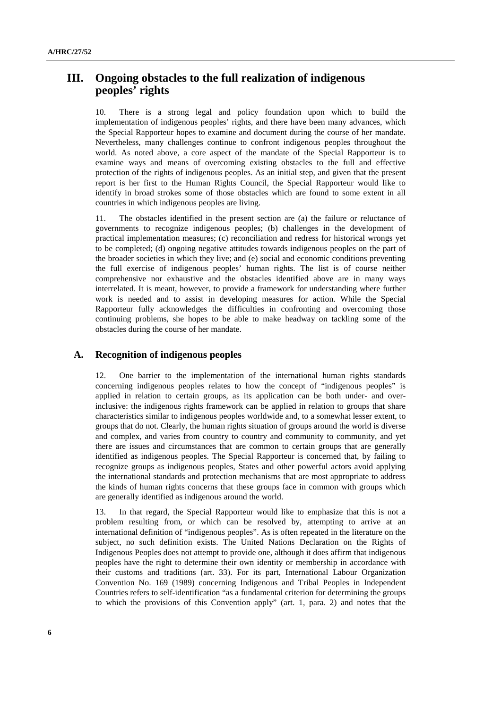# **III. Ongoing obstacles to the full realization of indigenous peoples' rights**

10. There is a strong legal and policy foundation upon which to build the implementation of indigenous peoples' rights, and there have been many advances, which the Special Rapporteur hopes to examine and document during the course of her mandate. Nevertheless, many challenges continue to confront indigenous peoples throughout the world. As noted above, a core aspect of the mandate of the Special Rapporteur is to examine ways and means of overcoming existing obstacles to the full and effective protection of the rights of indigenous peoples. As an initial step, and given that the present report is her first to the Human Rights Council, the Special Rapporteur would like to identify in broad strokes some of those obstacles which are found to some extent in all countries in which indigenous peoples are living.

11. The obstacles identified in the present section are (a) the failure or reluctance of governments to recognize indigenous peoples; (b) challenges in the development of practical implementation measures; (c) reconciliation and redress for historical wrongs yet to be completed; (d) ongoing negative attitudes towards indigenous peoples on the part of the broader societies in which they live; and (e) social and economic conditions preventing the full exercise of indigenous peoples' human rights. The list is of course neither comprehensive nor exhaustive and the obstacles identified above are in many ways interrelated. It is meant, however, to provide a framework for understanding where further work is needed and to assist in developing measures for action. While the Special Rapporteur fully acknowledges the difficulties in confronting and overcoming those continuing problems, she hopes to be able to make headway on tackling some of the obstacles during the course of her mandate.

#### **A. Recognition of indigenous peoples**

12. One barrier to the implementation of the international human rights standards concerning indigenous peoples relates to how the concept of "indigenous peoples" is applied in relation to certain groups, as its application can be both under- and overinclusive: the indigenous rights framework can be applied in relation to groups that share characteristics similar to indigenous peoples worldwide and, to a somewhat lesser extent, to groups that do not. Clearly, the human rights situation of groups around the world is diverse and complex, and varies from country to country and community to community, and yet there are issues and circumstances that are common to certain groups that are generally identified as indigenous peoples. The Special Rapporteur is concerned that, by failing to recognize groups as indigenous peoples, States and other powerful actors avoid applying the international standards and protection mechanisms that are most appropriate to address the kinds of human rights concerns that these groups face in common with groups which are generally identified as indigenous around the world.

13. In that regard, the Special Rapporteur would like to emphasize that this is not a problem resulting from, or which can be resolved by, attempting to arrive at an international definition of "indigenous peoples". As is often repeated in the literature on the subject, no such definition exists. The United Nations Declaration on the Rights of Indigenous Peoples does not attempt to provide one, although it does affirm that indigenous peoples have the right to determine their own identity or membership in accordance with their customs and traditions (art. 33). For its part, International Labour Organization Convention No. 169 (1989) concerning Indigenous and Tribal Peoples in Independent Countries refers to self-identification "as a fundamental criterion for determining the groups to which the provisions of this Convention apply" (art. 1, para. 2) and notes that the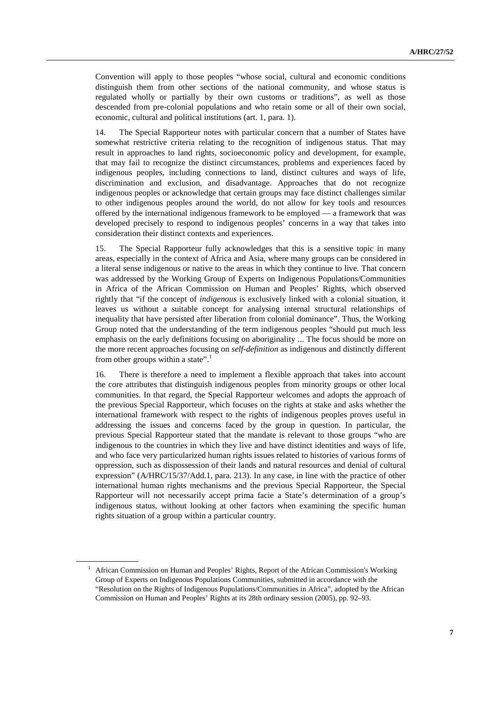Convention will apply to those peoples "whose social, cultural and economic conditions distinguish them from other sections of the national community, and whose status is regulated wholly or partially by their own customs or traditions", as well as those descended from pre-colonial populations and who retain some or all of their own social, economic, cultural and political institutions (art. 1, para. 1).

14. The Special Rapporteur notes with particular concern that a number of States have somewhat restrictive criteria relating to the recognition of indigenous status. That may result in approaches to land rights, socioeconomic policy and development, for example, that may fail to recognize the distinct circumstances, problems and experiences faced by indigenous peoples, including connections to land, distinct cultures and ways of life, discrimination and exclusion, and disadvantage. Approaches that do not recognize indigenous peoples or acknowledge that certain groups may face distinct challenges similar to other indigenous peoples around the world, do not allow for key tools and resources offered by the international indigenous framework to be employed — a framework that was developed precisely to respond to indigenous peoples' concerns in a way that takes into consideration their distinct contexts and experiences.

15. The Special Rapporteur fully acknowledges that this is a sensitive topic in many areas, especially in the context of Africa and Asia, where many groups can be considered in a literal sense indigenous or native to the areas in which they continue to live. That concern was addressed by the Working Group of Experts on Indigenous Populations/Communities in Africa of the African Commission on Human and Peoples' Rights, which observed rightly that "if the concept of *indigenous* is exclusively linked with a colonial situation, it leaves us without a suitable concept for analysing internal structural relationships of inequality that have persisted after liberation from colonial dominance". Thus, the Working Group noted that the understanding of the term indigenous peoples "should put much less emphasis on the early definitions focusing on aboriginality ... The focus should be more on the more recent approaches focusing on *self-definition* as indigenous and distinctly different from other groups within a state".<sup>1</sup>

16. There is therefore a need to implement a flexible approach that takes into account the core attributes that distinguish indigenous peoples from minority groups or other local communities. In that regard, the Special Rapporteur welcomes and adopts the approach of the previous Special Rapporteur, which focuses on the rights at stake and asks whether the international framework with respect to the rights of indigenous peoples proves useful in addressing the issues and concerns faced by the group in question. In particular, the previous Special Rapporteur stated that the mandate is relevant to those groups "who are indigenous to the countries in which they live and have distinct identities and ways of life, and who face very particularized human rights issues related to histories of various forms of oppression, such as dispossession of their lands and natural resources and denial of cultural expression" (A/HRC/15/37/Add.1, para. 213). In any case, in line with the practice of other international human rights mechanisms and the previous Special Rapporteur, the Special Rapporteur will not necessarily accept prima facie a State's determination of a group's indigenous status, without looking at other factors when examining the specific human rights situation of a group within a particular country.

<sup>&</sup>lt;sup>1</sup> African Commission on Human and Peoples' Rights, Report of the African Commission's Working Group of Experts on Indigenous Populations Communities, submitted in accordance with the "Resolution on the Rights of Indigenous Populations/Communities in Africa", adopted by the African Commission on Human and Peoples' Rights at its 28th ordinary session (2005), pp. 92–93.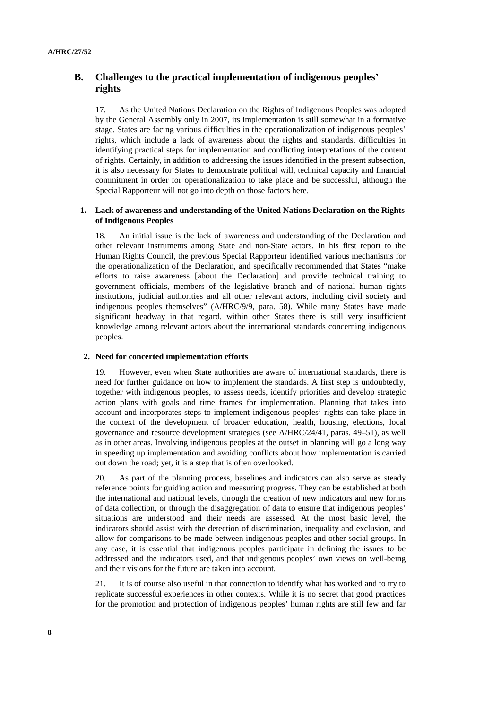### **B. Challenges to the practical implementation of indigenous peoples' rights**

17. As the United Nations Declaration on the Rights of Indigenous Peoples was adopted by the General Assembly only in 2007, its implementation is still somewhat in a formative stage. States are facing various difficulties in the operationalization of indigenous peoples' rights, which include a lack of awareness about the rights and standards, difficulties in identifying practical steps for implementation and conflicting interpretations of the content of rights. Certainly, in addition to addressing the issues identified in the present subsection, it is also necessary for States to demonstrate political will, technical capacity and financial commitment in order for operationalization to take place and be successful, although the Special Rapporteur will not go into depth on those factors here.

#### **1. Lack of awareness and understanding of the United Nations Declaration on the Rights of Indigenous Peoples**

18. An initial issue is the lack of awareness and understanding of the Declaration and other relevant instruments among State and non-State actors. In his first report to the Human Rights Council, the previous Special Rapporteur identified various mechanisms for the operationalization of the Declaration, and specifically recommended that States "make efforts to raise awareness [about the Declaration] and provide technical training to government officials, members of the legislative branch and of national human rights institutions, judicial authorities and all other relevant actors, including civil society and indigenous peoples themselves" (A/HRC/9/9, para. 58). While many States have made significant headway in that regard, within other States there is still very insufficient knowledge among relevant actors about the international standards concerning indigenous peoples.

#### **2. Need for concerted implementation efforts**

19. However, even when State authorities are aware of international standards, there is need for further guidance on how to implement the standards. A first step is undoubtedly, together with indigenous peoples, to assess needs, identify priorities and develop strategic action plans with goals and time frames for implementation. Planning that takes into account and incorporates steps to implement indigenous peoples' rights can take place in the context of the development of broader education, health, housing, elections, local governance and resource development strategies (see A/HRC/24/41, paras. 49–51), as well as in other areas. Involving indigenous peoples at the outset in planning will go a long way in speeding up implementation and avoiding conflicts about how implementation is carried out down the road; yet, it is a step that is often overlooked.

20. As part of the planning process, baselines and indicators can also serve as steady reference points for guiding action and measuring progress. They can be established at both the international and national levels, through the creation of new indicators and new forms of data collection, or through the disaggregation of data to ensure that indigenous peoples' situations are understood and their needs are assessed. At the most basic level, the indicators should assist with the detection of discrimination, inequality and exclusion, and allow for comparisons to be made between indigenous peoples and other social groups. In any case, it is essential that indigenous peoples participate in defining the issues to be addressed and the indicators used, and that indigenous peoples' own views on well-being and their visions for the future are taken into account.

21. It is of course also useful in that connection to identify what has worked and to try to replicate successful experiences in other contexts. While it is no secret that good practices for the promotion and protection of indigenous peoples' human rights are still few and far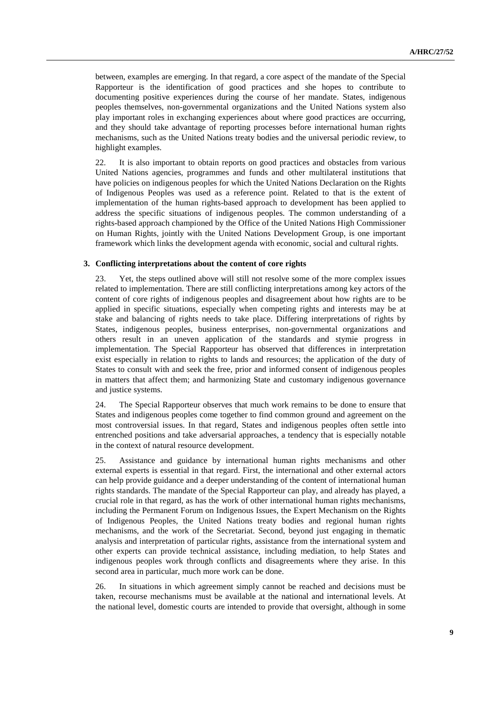between, examples are emerging. In that regard, a core aspect of the mandate of the Special Rapporteur is the identification of good practices and she hopes to contribute to documenting positive experiences during the course of her mandate. States, indigenous peoples themselves, non-governmental organizations and the United Nations system also play important roles in exchanging experiences about where good practices are occurring, and they should take advantage of reporting processes before international human rights mechanisms, such as the United Nations treaty bodies and the universal periodic review, to highlight examples.

22. It is also important to obtain reports on good practices and obstacles from various United Nations agencies, programmes and funds and other multilateral institutions that have policies on indigenous peoples for which the United Nations Declaration on the Rights of Indigenous Peoples was used as a reference point. Related to that is the extent of implementation of the human rights-based approach to development has been applied to address the specific situations of indigenous peoples. The common understanding of a rights-based approach championed by the Office of the United Nations High Commissioner on Human Rights, jointly with the United Nations Development Group, is one important framework which links the development agenda with economic, social and cultural rights.

#### **3. Conflicting interpretations about the content of core rights**

23. Yet, the steps outlined above will still not resolve some of the more complex issues related to implementation. There are still conflicting interpretations among key actors of the content of core rights of indigenous peoples and disagreement about how rights are to be applied in specific situations, especially when competing rights and interests may be at stake and balancing of rights needs to take place. Differing interpretations of rights by States, indigenous peoples, business enterprises, non-governmental organizations and others result in an uneven application of the standards and stymie progress in implementation. The Special Rapporteur has observed that differences in interpretation exist especially in relation to rights to lands and resources; the application of the duty of States to consult with and seek the free, prior and informed consent of indigenous peoples in matters that affect them; and harmonizing State and customary indigenous governance and justice systems.

24. The Special Rapporteur observes that much work remains to be done to ensure that States and indigenous peoples come together to find common ground and agreement on the most controversial issues. In that regard, States and indigenous peoples often settle into entrenched positions and take adversarial approaches, a tendency that is especially notable in the context of natural resource development.

25. Assistance and guidance by international human rights mechanisms and other external experts is essential in that regard. First, the international and other external actors can help provide guidance and a deeper understanding of the content of international human rights standards. The mandate of the Special Rapporteur can play, and already has played, a crucial role in that regard, as has the work of other international human rights mechanisms, including the Permanent Forum on Indigenous Issues, the Expert Mechanism on the Rights of Indigenous Peoples, the United Nations treaty bodies and regional human rights mechanisms, and the work of the Secretariat. Second, beyond just engaging in thematic analysis and interpretation of particular rights, assistance from the international system and other experts can provide technical assistance, including mediation, to help States and indigenous peoples work through conflicts and disagreements where they arise. In this second area in particular, much more work can be done.

26. In situations in which agreement simply cannot be reached and decisions must be taken, recourse mechanisms must be available at the national and international levels. At the national level, domestic courts are intended to provide that oversight, although in some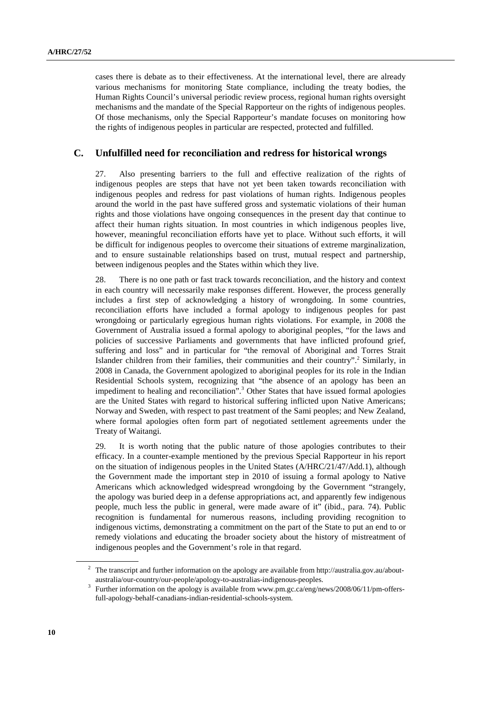cases there is debate as to their effectiveness. At the international level, there are already various mechanisms for monitoring State compliance, including the treaty bodies, the Human Rights Council's universal periodic review process, regional human rights oversight mechanisms and the mandate of the Special Rapporteur on the rights of indigenous peoples. Of those mechanisms, only the Special Rapporteur's mandate focuses on monitoring how the rights of indigenous peoples in particular are respected, protected and fulfilled.

### **C. Unfulfilled need for reconciliation and redress for historical wrongs**

27. Also presenting barriers to the full and effective realization of the rights of indigenous peoples are steps that have not yet been taken towards reconciliation with indigenous peoples and redress for past violations of human rights. Indigenous peoples around the world in the past have suffered gross and systematic violations of their human rights and those violations have ongoing consequences in the present day that continue to affect their human rights situation. In most countries in which indigenous peoples live, however, meaningful reconciliation efforts have yet to place. Without such efforts, it will be difficult for indigenous peoples to overcome their situations of extreme marginalization, and to ensure sustainable relationships based on trust, mutual respect and partnership, between indigenous peoples and the States within which they live.

28. There is no one path or fast track towards reconciliation, and the history and context in each country will necessarily make responses different. However, the process generally includes a first step of acknowledging a history of wrongdoing. In some countries, reconciliation efforts have included a formal apology to indigenous peoples for past wrongdoing or particularly egregious human rights violations. For example, in 2008 the Government of Australia issued a formal apology to aboriginal peoples, "for the laws and policies of successive Parliaments and governments that have inflicted profound grief, suffering and loss" and in particular for "the removal of Aboriginal and Torres Strait Islander children from their families, their communities and their country".<sup>2</sup> Similarly, in 2008 in Canada, the Government apologized to aboriginal peoples for its role in the Indian Residential Schools system, recognizing that "the absence of an apology has been an impediment to healing and reconciliation".<sup>3</sup> Other States that have issued formal apologies are the United States with regard to historical suffering inflicted upon Native Americans; Norway and Sweden, with respect to past treatment of the Sami peoples; and New Zealand, where formal apologies often form part of negotiated settlement agreements under the Treaty of Waitangi.

29. It is worth noting that the public nature of those apologies contributes to their efficacy. In a counter-example mentioned by the previous Special Rapporteur in his report on the situation of indigenous peoples in the United States (A/HRC/21/47/Add.1), although the Government made the important step in 2010 of issuing a formal apology to Native Americans which acknowledged widespread wrongdoing by the Government "strangely, the apology was buried deep in a defense appropriations act, and apparently few indigenous people, much less the public in general, were made aware of it" (ibid., para. 74). Public recognition is fundamental for numerous reasons, including providing recognition to indigenous victims, demonstrating a commitment on the part of the State to put an end to or remedy violations and educating the broader society about the history of mistreatment of indigenous peoples and the Government's role in that regard.

<sup>&</sup>lt;sup>2</sup> The transcript and further information on the apology are available from http://australia.gov.au/aboutaustralia/our-country/our-people/apology-to-australias-indigenous-peoples. 3

<sup>&</sup>lt;sup>3</sup> Further information on the apology is available from www.pm.gc.ca/eng/news/2008/06/11/pm-offersfull-apology-behalf-canadians-indian-residential-schools-system.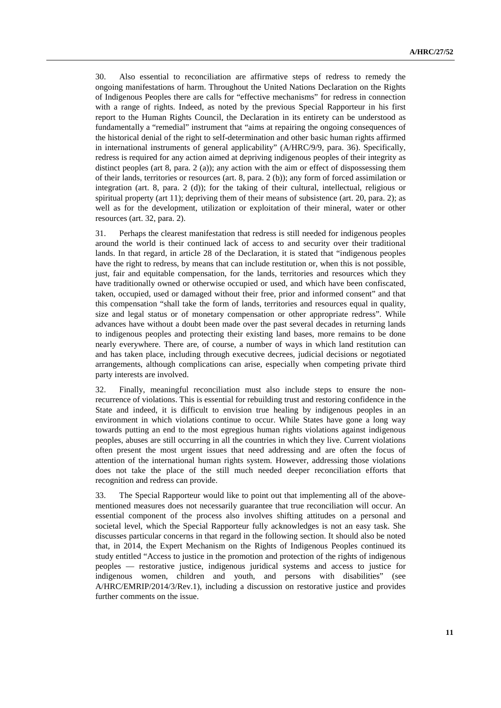30. Also essential to reconciliation are affirmative steps of redress to remedy the ongoing manifestations of harm. Throughout the United Nations Declaration on the Rights of Indigenous Peoples there are calls for "effective mechanisms" for redress in connection with a range of rights. Indeed, as noted by the previous Special Rapporteur in his first report to the Human Rights Council, the Declaration in its entirety can be understood as fundamentally a "remedial" instrument that "aims at repairing the ongoing consequences of the historical denial of the right to self-determination and other basic human rights affirmed in international instruments of general applicability" (A/HRC/9/9, para. 36). Specifically, redress is required for any action aimed at depriving indigenous peoples of their integrity as distinct peoples (art 8, para. 2 (a)); any action with the aim or effect of dispossessing them of their lands, territories or resources (art. 8, para. 2 (b)); any form of forced assimilation or integration (art. 8, para. 2 (d)); for the taking of their cultural, intellectual, religious or spiritual property (art 11); depriving them of their means of subsistence (art. 20, para. 2); as well as for the development, utilization or exploitation of their mineral, water or other resources (art. 32, para. 2).

31. Perhaps the clearest manifestation that redress is still needed for indigenous peoples around the world is their continued lack of access to and security over their traditional lands. In that regard, in article 28 of the Declaration, it is stated that "indigenous peoples have the right to redress, by means that can include restitution or, when this is not possible, just, fair and equitable compensation, for the lands, territories and resources which they have traditionally owned or otherwise occupied or used, and which have been confiscated, taken, occupied, used or damaged without their free, prior and informed consent" and that this compensation "shall take the form of lands, territories and resources equal in quality, size and legal status or of monetary compensation or other appropriate redress". While advances have without a doubt been made over the past several decades in returning lands to indigenous peoples and protecting their existing land bases, more remains to be done nearly everywhere. There are, of course, a number of ways in which land restitution can and has taken place, including through executive decrees, judicial decisions or negotiated arrangements, although complications can arise, especially when competing private third party interests are involved.

32. Finally, meaningful reconciliation must also include steps to ensure the nonrecurrence of violations. This is essential for rebuilding trust and restoring confidence in the State and indeed, it is difficult to envision true healing by indigenous peoples in an environment in which violations continue to occur. While States have gone a long way towards putting an end to the most egregious human rights violations against indigenous peoples, abuses are still occurring in all the countries in which they live. Current violations often present the most urgent issues that need addressing and are often the focus of attention of the international human rights system. However, addressing those violations does not take the place of the still much needed deeper reconciliation efforts that recognition and redress can provide.

33. The Special Rapporteur would like to point out that implementing all of the abovementioned measures does not necessarily guarantee that true reconciliation will occur. An essential component of the process also involves shifting attitudes on a personal and societal level, which the Special Rapporteur fully acknowledges is not an easy task. She discusses particular concerns in that regard in the following section. It should also be noted that, in 2014, the Expert Mechanism on the Rights of Indigenous Peoples continued its study entitled "Access to justice in the promotion and protection of the rights of indigenous peoples — restorative justice, indigenous juridical systems and access to justice for indigenous women, children and youth, and persons with disabilities" (see A/HRC/EMRIP/2014/3/Rev.1), including a discussion on restorative justice and provides further comments on the issue.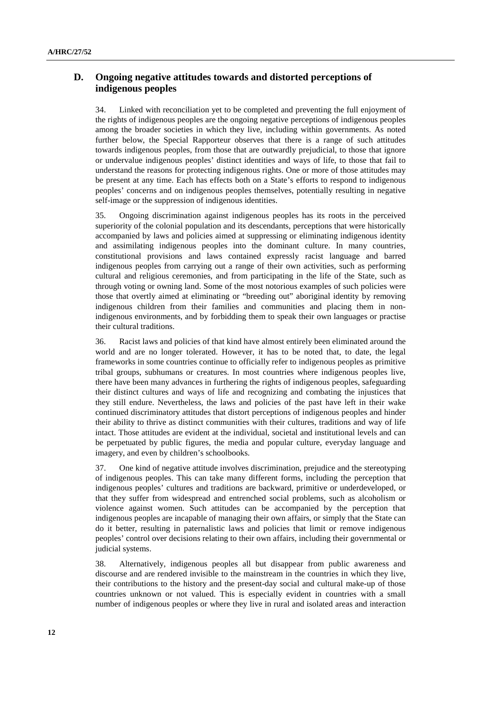## **D. Ongoing negative attitudes towards and distorted perceptions of indigenous peoples**

34. Linked with reconciliation yet to be completed and preventing the full enjoyment of the rights of indigenous peoples are the ongoing negative perceptions of indigenous peoples among the broader societies in which they live, including within governments. As noted further below, the Special Rapporteur observes that there is a range of such attitudes towards indigenous peoples, from those that are outwardly prejudicial, to those that ignore or undervalue indigenous peoples' distinct identities and ways of life, to those that fail to understand the reasons for protecting indigenous rights. One or more of those attitudes may be present at any time. Each has effects both on a State's efforts to respond to indigenous peoples' concerns and on indigenous peoples themselves, potentially resulting in negative self-image or the suppression of indigenous identities.

35. Ongoing discrimination against indigenous peoples has its roots in the perceived superiority of the colonial population and its descendants, perceptions that were historically accompanied by laws and policies aimed at suppressing or eliminating indigenous identity and assimilating indigenous peoples into the dominant culture. In many countries, constitutional provisions and laws contained expressly racist language and barred indigenous peoples from carrying out a range of their own activities, such as performing cultural and religious ceremonies, and from participating in the life of the State, such as through voting or owning land. Some of the most notorious examples of such policies were those that overtly aimed at eliminating or "breeding out" aboriginal identity by removing indigenous children from their families and communities and placing them in nonindigenous environments, and by forbidding them to speak their own languages or practise their cultural traditions.

36. Racist laws and policies of that kind have almost entirely been eliminated around the world and are no longer tolerated. However, it has to be noted that, to date, the legal frameworks in some countries continue to officially refer to indigenous peoples as primitive tribal groups, subhumans or creatures. In most countries where indigenous peoples live, there have been many advances in furthering the rights of indigenous peoples, safeguarding their distinct cultures and ways of life and recognizing and combating the injustices that they still endure. Nevertheless, the laws and policies of the past have left in their wake continued discriminatory attitudes that distort perceptions of indigenous peoples and hinder their ability to thrive as distinct communities with their cultures, traditions and way of life intact. Those attitudes are evident at the individual, societal and institutional levels and can be perpetuated by public figures, the media and popular culture, everyday language and imagery, and even by children's schoolbooks.

37. One kind of negative attitude involves discrimination, prejudice and the stereotyping of indigenous peoples. This can take many different forms, including the perception that indigenous peoples' cultures and traditions are backward, primitive or underdeveloped, or that they suffer from widespread and entrenched social problems, such as alcoholism or violence against women. Such attitudes can be accompanied by the perception that indigenous peoples are incapable of managing their own affairs, or simply that the State can do it better, resulting in paternalistic laws and policies that limit or remove indigenous peoples' control over decisions relating to their own affairs, including their governmental or judicial systems.

38. Alternatively, indigenous peoples all but disappear from public awareness and discourse and are rendered invisible to the mainstream in the countries in which they live, their contributions to the history and the present-day social and cultural make-up of those countries unknown or not valued. This is especially evident in countries with a small number of indigenous peoples or where they live in rural and isolated areas and interaction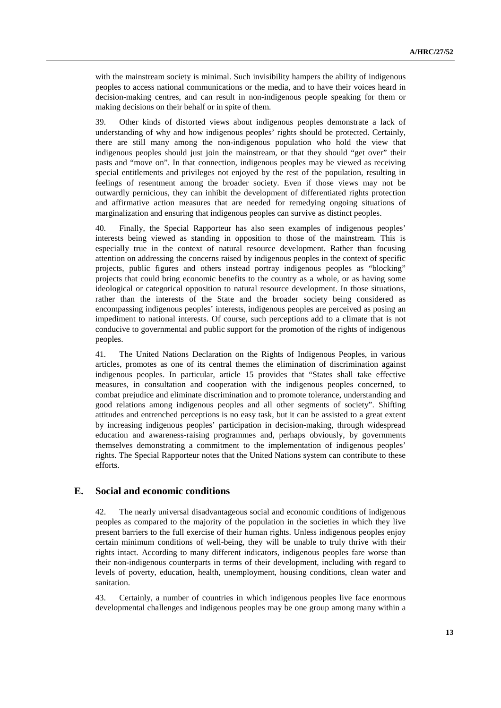with the mainstream society is minimal. Such invisibility hampers the ability of indigenous peoples to access national communications or the media, and to have their voices heard in decision-making centres, and can result in non-indigenous people speaking for them or making decisions on their behalf or in spite of them.

39. Other kinds of distorted views about indigenous peoples demonstrate a lack of understanding of why and how indigenous peoples' rights should be protected. Certainly, there are still many among the non-indigenous population who hold the view that indigenous peoples should just join the mainstream, or that they should "get over" their pasts and "move on". In that connection, indigenous peoples may be viewed as receiving special entitlements and privileges not enjoyed by the rest of the population, resulting in feelings of resentment among the broader society. Even if those views may not be outwardly pernicious, they can inhibit the development of differentiated rights protection and affirmative action measures that are needed for remedying ongoing situations of marginalization and ensuring that indigenous peoples can survive as distinct peoples.

40. Finally, the Special Rapporteur has also seen examples of indigenous peoples' interests being viewed as standing in opposition to those of the mainstream. This is especially true in the context of natural resource development. Rather than focusing attention on addressing the concerns raised by indigenous peoples in the context of specific projects, public figures and others instead portray indigenous peoples as "blocking" projects that could bring economic benefits to the country as a whole, or as having some ideological or categorical opposition to natural resource development. In those situations, rather than the interests of the State and the broader society being considered as encompassing indigenous peoples' interests, indigenous peoples are perceived as posing an impediment to national interests. Of course, such perceptions add to a climate that is not conducive to governmental and public support for the promotion of the rights of indigenous peoples.

41. The United Nations Declaration on the Rights of Indigenous Peoples, in various articles, promotes as one of its central themes the elimination of discrimination against indigenous peoples. In particular, article 15 provides that "States shall take effective measures, in consultation and cooperation with the indigenous peoples concerned, to combat prejudice and eliminate discrimination and to promote tolerance, understanding and good relations among indigenous peoples and all other segments of society". Shifting attitudes and entrenched perceptions is no easy task, but it can be assisted to a great extent by increasing indigenous peoples' participation in decision-making, through widespread education and awareness-raising programmes and, perhaps obviously, by governments themselves demonstrating a commitment to the implementation of indigenous peoples' rights. The Special Rapporteur notes that the United Nations system can contribute to these efforts.

#### **E. Social and economic conditions**

42. The nearly universal disadvantageous social and economic conditions of indigenous peoples as compared to the majority of the population in the societies in which they live present barriers to the full exercise of their human rights. Unless indigenous peoples enjoy certain minimum conditions of well-being, they will be unable to truly thrive with their rights intact. According to many different indicators, indigenous peoples fare worse than their non-indigenous counterparts in terms of their development, including with regard to levels of poverty, education, health, unemployment, housing conditions, clean water and sanitation.

43. Certainly, a number of countries in which indigenous peoples live face enormous developmental challenges and indigenous peoples may be one group among many within a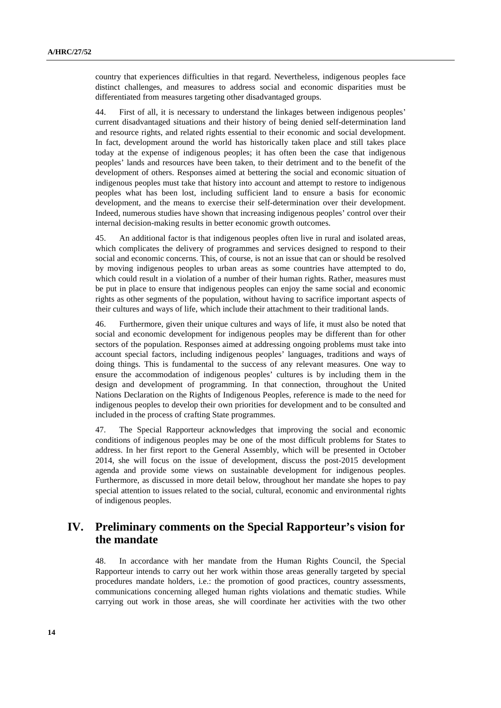country that experiences difficulties in that regard. Nevertheless, indigenous peoples face distinct challenges, and measures to address social and economic disparities must be differentiated from measures targeting other disadvantaged groups.

44. First of all, it is necessary to understand the linkages between indigenous peoples' current disadvantaged situations and their history of being denied self-determination land and resource rights, and related rights essential to their economic and social development. In fact, development around the world has historically taken place and still takes place today at the expense of indigenous peoples; it has often been the case that indigenous peoples' lands and resources have been taken, to their detriment and to the benefit of the development of others. Responses aimed at bettering the social and economic situation of indigenous peoples must take that history into account and attempt to restore to indigenous peoples what has been lost, including sufficient land to ensure a basis for economic development, and the means to exercise their self-determination over their development. Indeed, numerous studies have shown that increasing indigenous peoples' control over their internal decision-making results in better economic growth outcomes.

45. An additional factor is that indigenous peoples often live in rural and isolated areas, which complicates the delivery of programmes and services designed to respond to their social and economic concerns. This, of course, is not an issue that can or should be resolved by moving indigenous peoples to urban areas as some countries have attempted to do, which could result in a violation of a number of their human rights. Rather, measures must be put in place to ensure that indigenous peoples can enjoy the same social and economic rights as other segments of the population, without having to sacrifice important aspects of their cultures and ways of life, which include their attachment to their traditional lands.

46. Furthermore, given their unique cultures and ways of life, it must also be noted that social and economic development for indigenous peoples may be different than for other sectors of the population. Responses aimed at addressing ongoing problems must take into account special factors, including indigenous peoples' languages, traditions and ways of doing things. This is fundamental to the success of any relevant measures. One way to ensure the accommodation of indigenous peoples' cultures is by including them in the design and development of programming. In that connection, throughout the United Nations Declaration on the Rights of Indigenous Peoples, reference is made to the need for indigenous peoples to develop their own priorities for development and to be consulted and included in the process of crafting State programmes.

47. The Special Rapporteur acknowledges that improving the social and economic conditions of indigenous peoples may be one of the most difficult problems for States to address. In her first report to the General Assembly, which will be presented in October 2014, she will focus on the issue of development, discuss the post-2015 development agenda and provide some views on sustainable development for indigenous peoples. Furthermore, as discussed in more detail below, throughout her mandate she hopes to pay special attention to issues related to the social, cultural, economic and environmental rights of indigenous peoples.

# **IV. Preliminary comments on the Special Rapporteur's vision for the mandate**

48. In accordance with her mandate from the Human Rights Council, the Special Rapporteur intends to carry out her work within those areas generally targeted by special procedures mandate holders, i.e.: the promotion of good practices, country assessments, communications concerning alleged human rights violations and thematic studies. While carrying out work in those areas, she will coordinate her activities with the two other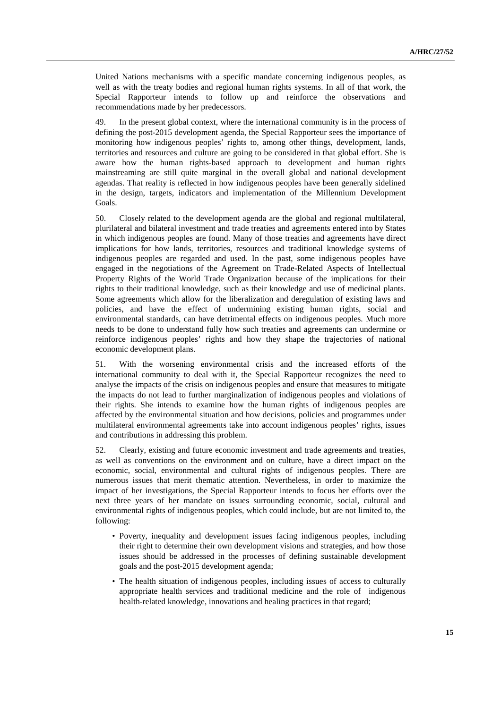United Nations mechanisms with a specific mandate concerning indigenous peoples, as well as with the treaty bodies and regional human rights systems. In all of that work, the Special Rapporteur intends to follow up and reinforce the observations and recommendations made by her predecessors.

49. In the present global context, where the international community is in the process of defining the post-2015 development agenda, the Special Rapporteur sees the importance of monitoring how indigenous peoples' rights to, among other things, development, lands, territories and resources and culture are going to be considered in that global effort. She is aware how the human rights-based approach to development and human rights mainstreaming are still quite marginal in the overall global and national development agendas. That reality is reflected in how indigenous peoples have been generally sidelined in the design, targets, indicators and implementation of the Millennium Development Goals.

50. Closely related to the development agenda are the global and regional multilateral, plurilateral and bilateral investment and trade treaties and agreements entered into by States in which indigenous peoples are found. Many of those treaties and agreements have direct implications for how lands, territories, resources and traditional knowledge systems of indigenous peoples are regarded and used. In the past, some indigenous peoples have engaged in the negotiations of the Agreement on Trade-Related Aspects of Intellectual Property Rights of the World Trade Organization because of the implications for their rights to their traditional knowledge, such as their knowledge and use of medicinal plants. Some agreements which allow for the liberalization and deregulation of existing laws and policies, and have the effect of undermining existing human rights, social and environmental standards, can have detrimental effects on indigenous peoples. Much more needs to be done to understand fully how such treaties and agreements can undermine or reinforce indigenous peoples' rights and how they shape the trajectories of national economic development plans.

51. With the worsening environmental crisis and the increased efforts of the international community to deal with it, the Special Rapporteur recognizes the need to analyse the impacts of the crisis on indigenous peoples and ensure that measures to mitigate the impacts do not lead to further marginalization of indigenous peoples and violations of their rights. She intends to examine how the human rights of indigenous peoples are affected by the environmental situation and how decisions, policies and programmes under multilateral environmental agreements take into account indigenous peoples' rights, issues and contributions in addressing this problem.

52. Clearly, existing and future economic investment and trade agreements and treaties, as well as conventions on the environment and on culture, have a direct impact on the economic, social, environmental and cultural rights of indigenous peoples. There are numerous issues that merit thematic attention. Nevertheless, in order to maximize the impact of her investigations, the Special Rapporteur intends to focus her efforts over the next three years of her mandate on issues surrounding economic, social, cultural and environmental rights of indigenous peoples, which could include, but are not limited to, the following:

- Poverty, inequality and development issues facing indigenous peoples, including their right to determine their own development visions and strategies, and how those issues should be addressed in the processes of defining sustainable development goals and the post-2015 development agenda;
- The health situation of indigenous peoples, including issues of access to culturally appropriate health services and traditional medicine and the role of indigenous health-related knowledge, innovations and healing practices in that regard;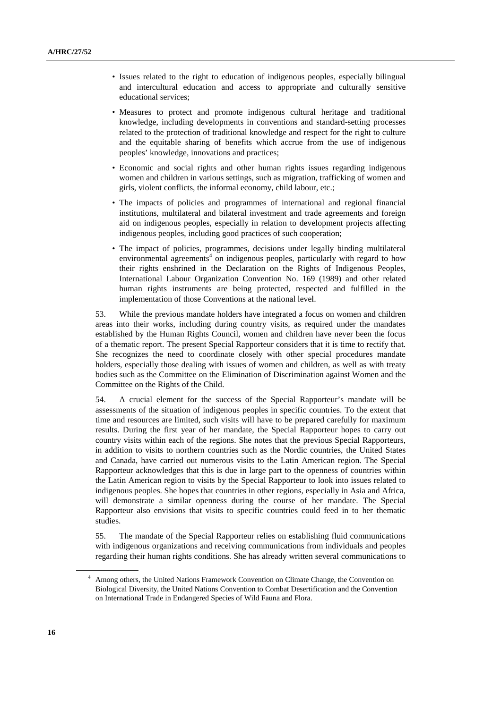- Issues related to the right to education of indigenous peoples, especially bilingual and intercultural education and access to appropriate and culturally sensitive educational services;
- Measures to protect and promote indigenous cultural heritage and traditional knowledge, including developments in conventions and standard-setting processes related to the protection of traditional knowledge and respect for the right to culture and the equitable sharing of benefits which accrue from the use of indigenous peoples' knowledge, innovations and practices;
- Economic and social rights and other human rights issues regarding indigenous women and children in various settings, such as migration, trafficking of women and girls, violent conflicts, the informal economy, child labour, etc.;
- The impacts of policies and programmes of international and regional financial institutions, multilateral and bilateral investment and trade agreements and foreign aid on indigenous peoples, especially in relation to development projects affecting indigenous peoples, including good practices of such cooperation;
- The impact of policies, programmes, decisions under legally binding multilateral environmental agreements<sup>4</sup> on indigenous peoples, particularly with regard to how their rights enshrined in the Declaration on the Rights of Indigenous Peoples, International Labour Organization Convention No. 169 (1989) and other related human rights instruments are being protected, respected and fulfilled in the implementation of those Conventions at the national level.

53. While the previous mandate holders have integrated a focus on women and children areas into their works, including during country visits, as required under the mandates established by the Human Rights Council, women and children have never been the focus of a thematic report. The present Special Rapporteur considers that it is time to rectify that. She recognizes the need to coordinate closely with other special procedures mandate holders, especially those dealing with issues of women and children, as well as with treaty bodies such as the Committee on the Elimination of Discrimination against Women and the Committee on the Rights of the Child.

54. A crucial element for the success of the Special Rapporteur's mandate will be assessments of the situation of indigenous peoples in specific countries. To the extent that time and resources are limited, such visits will have to be prepared carefully for maximum results. During the first year of her mandate, the Special Rapporteur hopes to carry out country visits within each of the regions. She notes that the previous Special Rapporteurs, in addition to visits to northern countries such as the Nordic countries, the United States and Canada, have carried out numerous visits to the Latin American region. The Special Rapporteur acknowledges that this is due in large part to the openness of countries within the Latin American region to visits by the Special Rapporteur to look into issues related to indigenous peoples. She hopes that countries in other regions, especially in Asia and Africa, will demonstrate a similar openness during the course of her mandate. The Special Rapporteur also envisions that visits to specific countries could feed in to her thematic studies.

55. The mandate of the Special Rapporteur relies on establishing fluid communications with indigenous organizations and receiving communications from individuals and peoples regarding their human rights conditions. She has already written several communications to

<sup>4</sup> Among others, the United Nations Framework Convention on Climate Change, the Convention on Biological Diversity, the United Nations Convention to Combat Desertification and the Convention on International Trade in Endangered Species of Wild Fauna and Flora.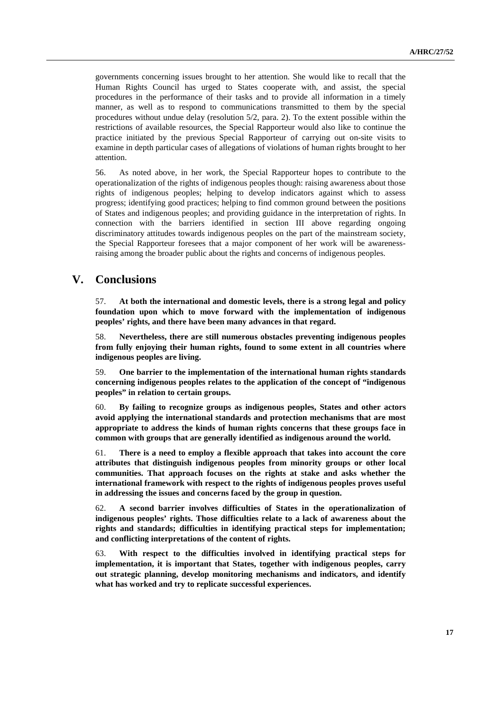governments concerning issues brought to her attention. She would like to recall that the Human Rights Council has urged to States cooperate with, and assist, the special procedures in the performance of their tasks and to provide all information in a timely manner, as well as to respond to communications transmitted to them by the special procedures without undue delay (resolution 5/2, para. 2). To the extent possible within the restrictions of available resources, the Special Rapporteur would also like to continue the practice initiated by the previous Special Rapporteur of carrying out on-site visits to examine in depth particular cases of allegations of violations of human rights brought to her attention.

56. As noted above, in her work, the Special Rapporteur hopes to contribute to the operationalization of the rights of indigenous peoples though: raising awareness about those rights of indigenous peoples; helping to develop indicators against which to assess progress; identifying good practices; helping to find common ground between the positions of States and indigenous peoples; and providing guidance in the interpretation of rights. In connection with the barriers identified in section III above regarding ongoing discriminatory attitudes towards indigenous peoples on the part of the mainstream society, the Special Rapporteur foresees that a major component of her work will be awarenessraising among the broader public about the rights and concerns of indigenous peoples.

# **V. Conclusions**

57. **At both the international and domestic levels, there is a strong legal and policy foundation upon which to move forward with the implementation of indigenous peoples' rights, and there have been many advances in that regard.** 

58. **Nevertheless, there are still numerous obstacles preventing indigenous peoples from fully enjoying their human rights, found to some extent in all countries where indigenous peoples are living.** 

59. **One barrier to the implementation of the international human rights standards concerning indigenous peoples relates to the application of the concept of "indigenous peoples" in relation to certain groups.** 

60. **By failing to recognize groups as indigenous peoples, States and other actors avoid applying the international standards and protection mechanisms that are most appropriate to address the kinds of human rights concerns that these groups face in common with groups that are generally identified as indigenous around the world.** 

61. **There is a need to employ a flexible approach that takes into account the core attributes that distinguish indigenous peoples from minority groups or other local communities. That approach focuses on the rights at stake and asks whether the international framework with respect to the rights of indigenous peoples proves useful in addressing the issues and concerns faced by the group in question.** 

62. **A second barrier involves difficulties of States in the operationalization of indigenous peoples' rights. Those difficulties relate to a lack of awareness about the rights and standards; difficulties in identifying practical steps for implementation; and conflicting interpretations of the content of rights.** 

63. **With respect to the difficulties involved in identifying practical steps for implementation, it is important that States, together with indigenous peoples, carry out strategic planning, develop monitoring mechanisms and indicators, and identify what has worked and try to replicate successful experiences.**